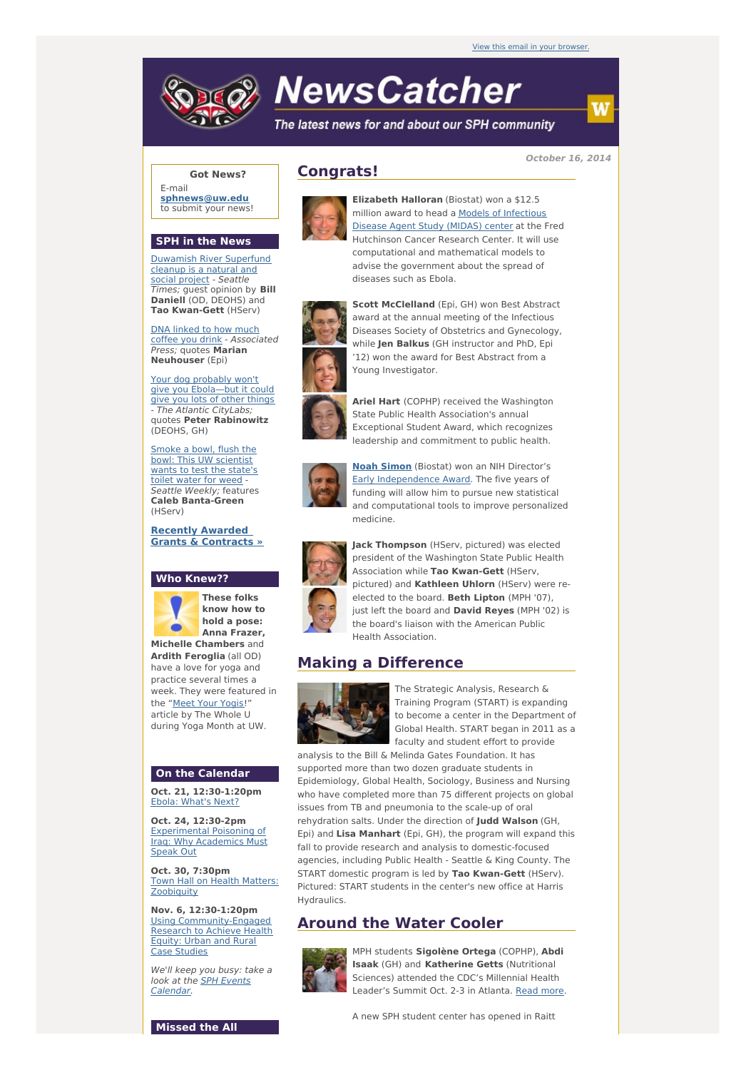# **NewsCatcher**

The latest news for and about our SPH community

**October 16, 2014**

## **Got News?**

E-mail **[sphnews@uw.edu](mailto:sphnews@uw.edu)** to submit your news!

## **SPH in the News**

[Duwamish](http://engage.washington.edu/site/R?i=cWzzx7gPcuf1DhzVorN90w) River Superfund cleanup is a natural and social project - Seattle Times; guest opinion by **Bill Daniell** (OD, DEOHS) and **Tao Kwan-Gett** (HServ)

DNA [linked](http://engage.washington.edu/site/R?i=zMeZF8nANQu5AH36dagREA) to how much coffee you drink - Associated Press; quotes **Marian Neuhouser** (Epi)

Your dog probably won't give you [Ebola—but](http://engage.washington.edu/site/R?i=Tz6aFE4dG_0nrUHsoDVnxg) it could give you lots of other things - The Atlantic CityLabs; quotes **Peter Rabinowitz** (DEOHS, GH)

Smoke a bowl, flush the bowl: This UW [scientist](http://engage.washington.edu/site/R?i=F7SGlizl9yZIBm8G6SW_cg) wants to test the state's toilet water for weed -Seattle Weekly; features **Caleb Banta-Green** (HServ)

**Recently Awarded Grants & [Contracts](http://engage.washington.edu/site/R?i=o-Ib1xTU7knd7jz-E1wyTA) »**

#### **Who Knew??**



#### **On the Calendar**

**Oct. 21, 12:30-1:20pm** Ebola: [What's](http://engage.washington.edu/site/R?i=aU3fC16G6_qV9VG69iEeKw) Next?

**Oct. 24, 12:30-2pm** [Experimental](http://engage.washington.edu/site/R?i=0v-IM0fR7HFwyDtPe8Fpng) Poisoning of Iraq: Why Academics Must Speak Out

**Oct. 30, 7:30pm** Town Hall on Health Matters: **[Zoobiquity](http://engage.washington.edu/site/R?i=zQZWwYzaW0Kq4-nro4_X6A)** 

**Nov. 6, 12:30-1:20pm** Using [Community-Engaged](http://engage.washington.edu/site/R?i=swJYW2qL8kw5qPPQxT7lOg) Research to Achieve Health Equity: Urban and Rural Case Studies

We'll keep you busy: take a look at the **SPH Events** [Calendar.](http://engage.washington.edu/site/R?i=59jjet41FmpuS4aZ7JSDmg)

## **Congrats!**



**Elizabeth Halloran** (Biostat) won a \$12.5 million award to head a Models of [Infectious](http://engage.washington.edu/site/R?i=p8fH08i46P6iaqcvqta7Sw) Disease Agent Study (MIDAS) center at the Fred Hutchinson Cancer Research Center. It will use computational and mathematical models to advise the government about the spread of diseases such as Ebola.



**Scott McClelland** (Epi, GH) won Best Abstract award at the annual meeting of the Infectious Diseases Society of Obstetrics and Gynecology, while **Jen Balkus** (GH instructor and PhD, Epi '12) won the award for Best Abstract from a Young Investigator.

**Ariel Hart** (COPHP) received the Washington State Public Health Association's annual Exceptional Student Award, which recognizes leadership and commitment to public health.



**Noah [Simon](http://engage.washington.edu/site/R?i=6aTcQJAj60LgFW3DtU9C6Q)** (Biostat) won an NIH Director's **Early [Independence](http://engage.washington.edu/site/R?i=2zU7zCQEupfcYn7oSV3RoQ) Award.** The five years of funding will allow him to pursue new statistical and computational tools to improve personalized medicine.



**Jack Thompson** (HServ, pictured) was elected president of the Washington State Public Health Association while **Tao Kwan-Gett** (HServ, pictured) and **Kathleen Uhlorn** (HServ) were reelected to the board. **Beth Lipton** (MPH '07), just left the board and **David Reyes** (MPH '02) is the board's liaison with the American Public Health Association.

## **Making a Difference**



The Strategic Analysis, Research & Training Program (START) is expanding to become a center in the Department of Global Health. START began in 2011 as a faculty and student effort to provide

analysis to the Bill & Melinda Gates Foundation. It has supported more than two dozen graduate students in Epidemiology, Global Health, Sociology, Business and Nursing who have completed more than 75 different projects on global issues from TB and pneumonia to the scale-up of oral rehydration salts. Under the direction of **Judd Walson** (GH, Epi) and **Lisa Manhart** (Epi, GH), the program will expand this fall to provide research and analysis to domestic-focused agencies, including Public Health - Seattle & King County. The START domestic program is led by **Tao Kwan-Gett** (HServ). Pictured: START students in the center's new office at Harris Hydraulics.

## **Around the Water Cooler**



MPH students **Sigolène Ortega** (COPHP), **Abdi Isaak** (GH) and **Katherine Getts** (Nutritional Sciences) attended the CDC's Millennial Health Leader's Summit Oct. 2-3 in Atlanta. [Read](http://engage.washington.edu/site/R?i=z0zCVL6Pobn7WHoeLcKpgQ) more.